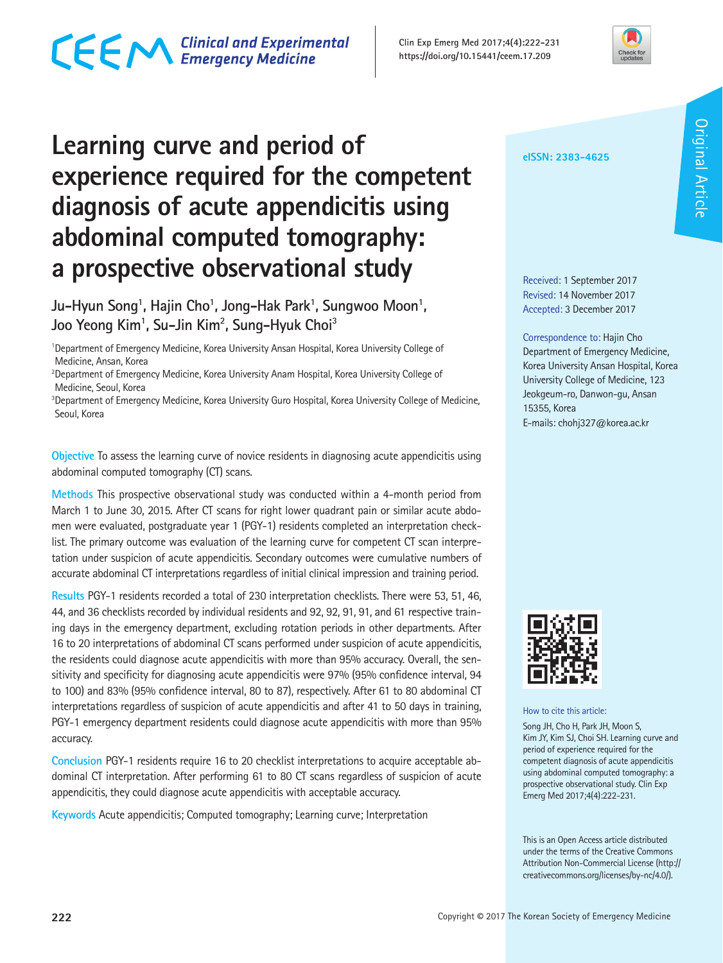## CECM Clinical and Experimental



### **Learning curve and period of experience required for the competent diagnosis of acute appendicitis using abdominal computed tomography: a prospective observational study**

Ju-Hyun Song<sup>1</sup>, Hajin Cho<sup>1</sup>, Jong-Hak Park<sup>1</sup>, Sungwoo Moon<sup>1</sup>, **Joo Yeong Kim1 , Su-Jin Kim2 , Sung-Hyuk Choi3**

<sup>1</sup>Department of Emergency Medicine, Korea University Ansan Hospital, Korea University College of Medicine, Ansan, Korea

<sup>2</sup>Department of Emergency Medicine, Korea University Anam Hospital, Korea University College of Medicine, Seoul, Korea

3 Department of Emergency Medicine, Korea University Guro Hospital, Korea University College of Medicine, Seoul, Korea

**Objective** To assess the learning curve of novice residents in diagnosing acute appendicitis using abdominal computed tomography (CT) scans.

**Methods** This prospective observational study was conducted within a 4-month period from March 1 to June 30, 2015. After CT scans for right lower quadrant pain or similar acute abdomen were evaluated, postgraduate year 1 (PGY-1) residents completed an interpretation checklist. The primary outcome was evaluation of the learning curve for competent CT scan interpretation under suspicion of acute appendicitis. Secondary outcomes were cumulative numbers of accurate abdominal CT interpretations regardless of initial clinical impression and training period.

**Results** PGY-1 residents recorded a total of 230 interpretation checklists. There were 53, 51, 46, 44, and 36 checklists recorded by individual residents and 92, 92, 91, 91, and 61 respective training days in the emergency department, excluding rotation periods in other departments. After 16 to 20 interpretations of abdominal CT scans performed under suspicion of acute appendicitis, the residents could diagnose acute appendicitis with more than 95% accuracy. Overall, the sensitivity and specificity for diagnosing acute appendicitis were 97% (95% confidence interval, 94 to 100) and 83% (95% confidence interval, 80 to 87), respectively. After 61 to 80 abdominal CT interpretations regardless of suspicion of acute appendicitis and after 41 to 50 days in training, PGY-1 emergency department residents could diagnose acute appendicitis with more than 95% accuracy.

**Conclusion** PGY-1 residents require 16 to 20 checklist interpretations to acquire acceptable abdominal CT interpretation. After performing 61 to 80 CT scans regardless of suspicion of acute appendicitis, they could diagnose acute appendicitis with acceptable accuracy.

**Keywords** Acute appendicitis; Computed tomography; Learning curve; Interpretation

#### **eISSN: 2383-4625**

Received: 1 September 2017 Revised: 14 November 2017 Accepted: 3 December 2017

Correspondence to: Hajin Cho Department of Emergency Medicine, Korea University Ansan Hospital, Korea University College of Medicine, 123 Jeokgeum-ro, Danwon-gu, Ansan 15355, Korea E-mails: chohj327@korea.ac.kr



How to cite this article:

Song JH, Cho H, Park JH, Moon S, Kim JY, Kim SJ, Choi SH. Learning curve and period of experience required for the competent diagnosis of acute appendicitis using abdominal computed tomography: a prospective observational study. Clin Exp Emerg Med 2017;4(4):222-231.

This is an Open Access article distributed under the terms of the Creative Commons Attribution Non-Commercial License (http:// creativecommons.org/licenses/by-nc/4.0/).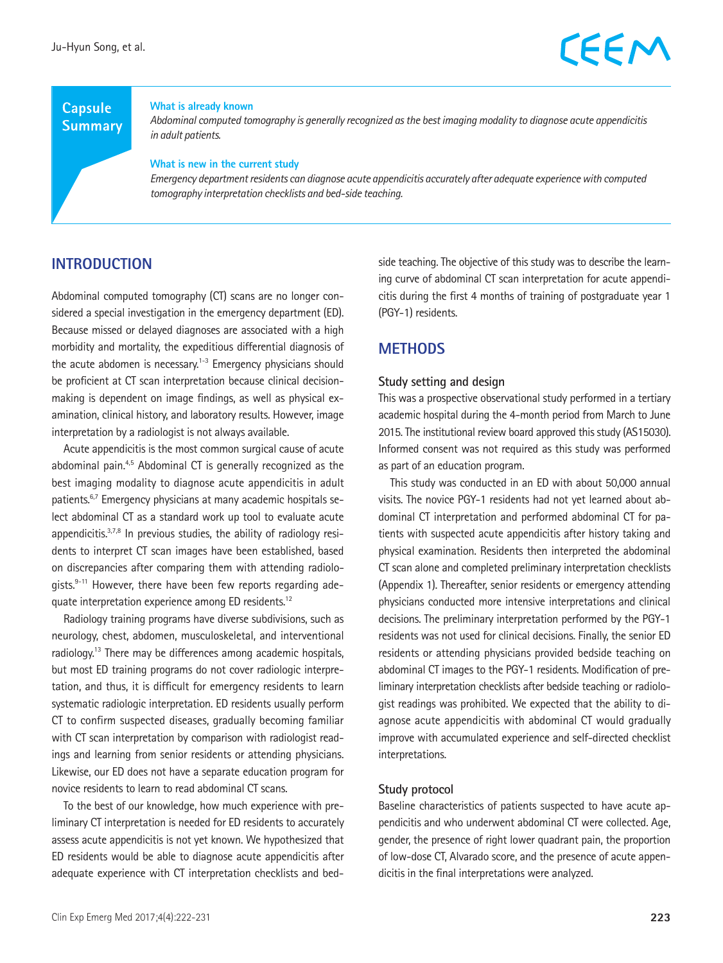

#### **Capsule Summary**

#### **What is already known**

*Abdominal computed tomography is generally recognized as the best imaging modality to diagnose acute appendicitis in adult patients.*

#### **What is new in the current study**

*Emergency department residents can diagnose acute appendicitis accurately after adequate experience with computed tomography interpretation checklists and bed-side teaching.*

#### **INTRODUCTION**

Abdominal computed tomography (CT) scans are no longer considered a special investigation in the emergency department (ED). Because missed or delayed diagnoses are associated with a high morbidity and mortality, the expeditious differential diagnosis of the acute abdomen is necessary.<sup> $1-3$ </sup> Emergency physicians should be proficient at CT scan interpretation because clinical decisionmaking is dependent on image findings, as well as physical examination, clinical history, and laboratory results. However, image interpretation by a radiologist is not always available.

Acute appendicitis is the most common surgical cause of acute abdominal pain.<sup>4,5</sup> Abdominal CT is generally recognized as the best imaging modality to diagnose acute appendicitis in adult patients.6,7 Emergency physicians at many academic hospitals select abdominal CT as a standard work up tool to evaluate acute appendicitis.<sup>3,7,8</sup> In previous studies, the ability of radiology residents to interpret CT scan images have been established, based on discrepancies after comparing them with attending radiologists.<sup>9-11</sup> However, there have been few reports regarding adequate interpretation experience among ED residents.<sup>12</sup>

Radiology training programs have diverse subdivisions, such as neurology, chest, abdomen, musculoskeletal, and interventional radiology.<sup>13</sup> There may be differences among academic hospitals, but most ED training programs do not cover radiologic interpretation, and thus, it is difficult for emergency residents to learn systematic radiologic interpretation. ED residents usually perform CT to confirm suspected diseases, gradually becoming familiar with CT scan interpretation by comparison with radiologist readings and learning from senior residents or attending physicians. Likewise, our ED does not have a separate education program for novice residents to learn to read abdominal CT scans.

To the best of our knowledge, how much experience with preliminary CT interpretation is needed for ED residents to accurately assess acute appendicitis is not yet known. We hypothesized that ED residents would be able to diagnose acute appendicitis after adequate experience with CT interpretation checklists and bedside teaching. The objective of this study was to describe the learning curve of abdominal CT scan interpretation for acute appendicitis during the first 4 months of training of postgraduate year 1 (PGY-1) residents.

#### **METHODS**

#### **Study setting and design**

This was a prospective observational study performed in a tertiary academic hospital during the 4-month period from March to June 2015. The institutional review board approved this study (AS15030). Informed consent was not required as this study was performed as part of an education program.

This study was conducted in an ED with about 50,000 annual visits. The novice PGY-1 residents had not yet learned about abdominal CT interpretation and performed abdominal CT for patients with suspected acute appendicitis after history taking and physical examination. Residents then interpreted the abdominal CT scan alone and completed preliminary interpretation checklists (Appendix 1). Thereafter, senior residents or emergency attending physicians conducted more intensive interpretations and clinical decisions. The preliminary interpretation performed by the PGY-1 residents was not used for clinical decisions. Finally, the senior ED residents or attending physicians provided bedside teaching on abdominal CT images to the PGY-1 residents. Modification of preliminary interpretation checklists after bedside teaching or radiologist readings was prohibited. We expected that the ability to diagnose acute appendicitis with abdominal CT would gradually improve with accumulated experience and self-directed checklist interpretations.

#### **Study protocol**

Baseline characteristics of patients suspected to have acute appendicitis and who underwent abdominal CT were collected. Age, gender, the presence of right lower quadrant pain, the proportion of low-dose CT, Alvarado score, and the presence of acute appendicitis in the final interpretations were analyzed.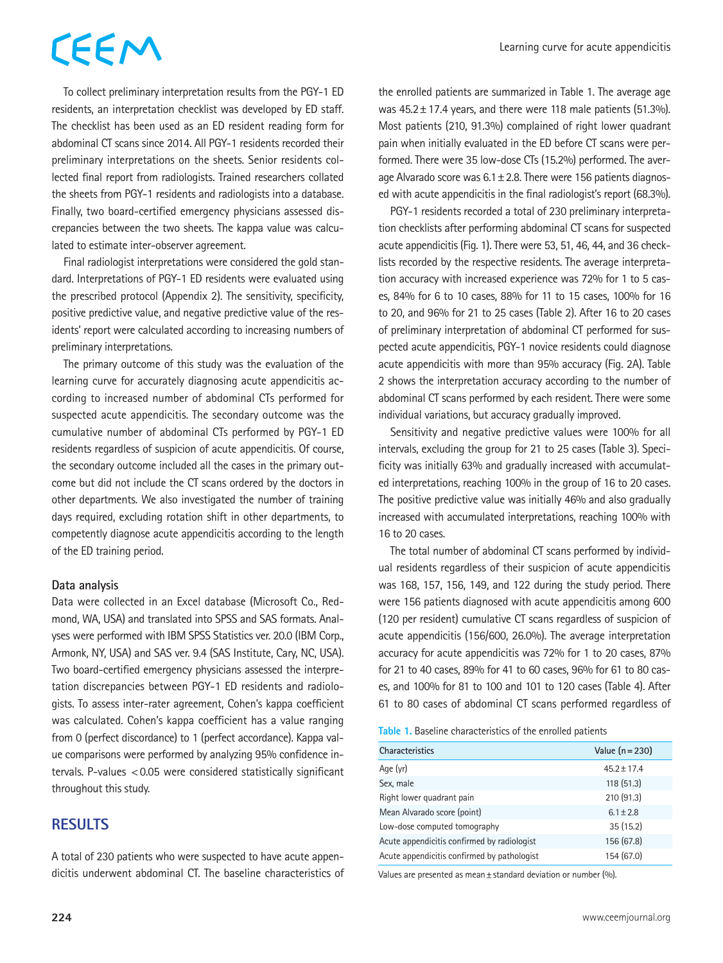## CEEM

To collect preliminary interpretation results from the PGY-1 ED residents, an interpretation checklist was developed by ED staff. The checklist has been used as an ED resident reading form for abdominal CT scans since 2014. All PGY-1 residents recorded their preliminary interpretations on the sheets. Senior residents collected final report from radiologists. Trained researchers collated the sheets from PGY-1 residents and radiologists into a database. Finally, two board-certified emergency physicians assessed discrepancies between the two sheets. The kappa value was calculated to estimate inter-observer agreement.

Final radiologist interpretations were considered the gold standard. Interpretations of PGY-1 ED residents were evaluated using the prescribed protocol (Appendix 2). The sensitivity, specificity, positive predictive value, and negative predictive value of the residents' report were calculated according to increasing numbers of preliminary interpretations.

The primary outcome of this study was the evaluation of the learning curve for accurately diagnosing acute appendicitis according to increased number of abdominal CTs performed for suspected acute appendicitis. The secondary outcome was the cumulative number of abdominal CTs performed by PGY-1 ED residents regardless of suspicion of acute appendicitis. Of course, the secondary outcome included all the cases in the primary outcome but did not include the CT scans ordered by the doctors in other departments. We also investigated the number of training days required, excluding rotation shift in other departments, to competently diagnose acute appendicitis according to the length of the ED training period.

#### **Data analysis**

Data were collected in an Excel database (Microsoft Co., Redmond, WA, USA) and translated into SPSS and SAS formats. Analyses were performed with IBM SPSS Statistics ver. 20.0 (IBM Corp., Armonk, NY, USA) and SAS ver. 9.4 (SAS Institute, Cary, NC, USA). Two board-certified emergency physicians assessed the interpretation discrepancies between PGY-1 ED residents and radiologists. To assess inter-rater agreement, Cohen's kappa coefficient was calculated. Cohen's kappa coefficient has a value ranging from 0 (perfect discordance) to 1 (perfect accordance). Kappa value comparisons were performed by analyzing 95% confidence intervals. P-values <0.05 were considered statistically significant throughout this study.

#### **RESULTS**

A total of 230 patients who were suspected to have acute appendicitis underwent abdominal CT. The baseline characteristics of the enrolled patients are summarized in Table 1. The average age was 45.2±17.4 years, and there were 118 male patients (51.3%). Most patients (210, 91.3%) complained of right lower quadrant pain when initially evaluated in the ED before CT scans were performed. There were 35 low-dose CTs (15.2%) performed. The average Alvarado score was  $6.1 \pm 2.8$ . There were 156 patients diagnosed with acute appendicitis in the final radiologist's report (68.3%).

PGY-1 residents recorded a total of 230 preliminary interpretation checklists after performing abdominal CT scans for suspected acute appendicitis (Fig. 1). There were 53, 51, 46, 44, and 36 checklists recorded by the respective residents. The average interpretation accuracy with increased experience was 72% for 1 to 5 cases, 84% for 6 to 10 cases, 88% for 11 to 15 cases, 100% for 16 to 20, and 96% for 21 to 25 cases (Table 2). After 16 to 20 cases of preliminary interpretation of abdominal CT performed for suspected acute appendicitis, PGY-1 novice residents could diagnose acute appendicitis with more than 95% accuracy (Fig. 2A). Table 2 shows the interpretation accuracy according to the number of abdominal CT scans performed by each resident. There were some individual variations, but accuracy gradually improved.

Sensitivity and negative predictive values were 100% for all intervals, excluding the group for 21 to 25 cases (Table 3). Specificity was initially 63% and gradually increased with accumulated interpretations, reaching 100% in the group of 16 to 20 cases. The positive predictive value was initially 46% and also gradually increased with accumulated interpretations, reaching 100% with 16 to 20 cases.

The total number of abdominal CT scans performed by individual residents regardless of their suspicion of acute appendicitis was 168, 157, 156, 149, and 122 during the study period. There were 156 patients diagnosed with acute appendicitis among 600 (120 per resident) cumulative CT scans regardless of suspicion of acute appendicitis (156/600, 26.0%). The average interpretation accuracy for acute appendicitis was 72% for 1 to 20 cases, 87% for 21 to 40 cases, 89% for 41 to 60 cases, 96% for 61 to 80 cases, and 100% for 81 to 100 and 101 to 120 cases (Table 4). After 61 to 80 cases of abdominal CT scans performed regardless of

**Table 1.** Baseline characteristics of the enrolled patients

| <b>Characteristics</b>                      | Value $(n=230)$ |
|---------------------------------------------|-----------------|
| Age (yr)                                    | $45.2 \pm 17.4$ |
| Sex, male                                   | 118(51.3)       |
| Right lower quadrant pain                   | 210 (91.3)      |
| Mean Alvarado score (point)                 | $6.1 \pm 2.8$   |
| Low-dose computed tomography                | 35(15.2)        |
| Acute appendicitis confirmed by radiologist | 156 (67.8)      |
| Acute appendicitis confirmed by pathologist | 154 (67.0)      |

Values are presented as mean±standard deviation or number (%).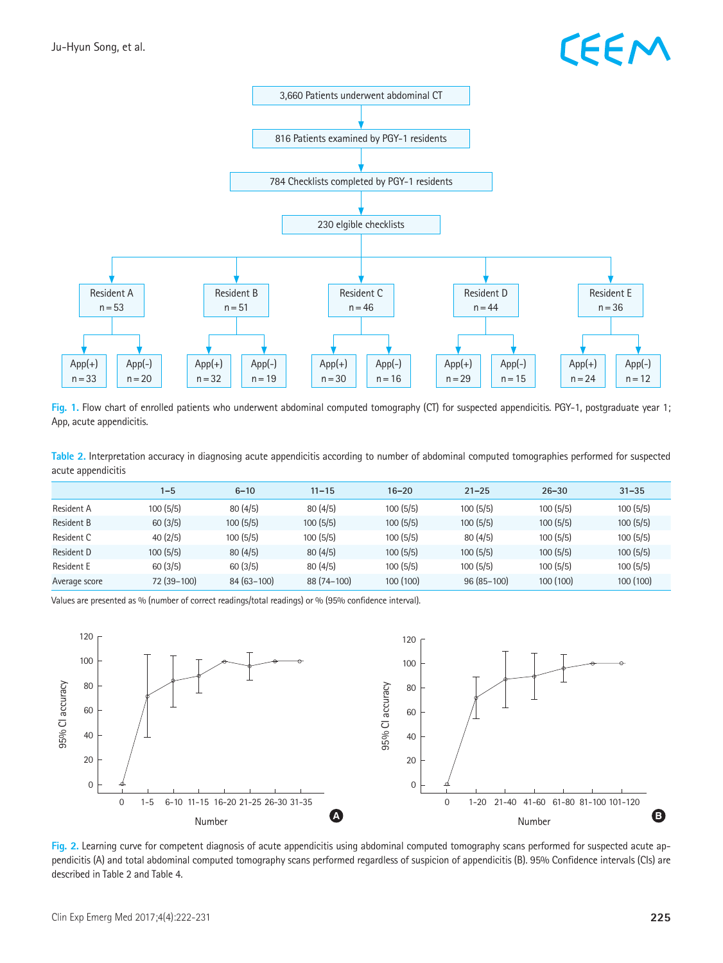## **CEEM**



**Fig. 1.** Flow chart of enrolled patients who underwent abdominal computed tomography (CT) for suspected appendicitis. PGY-1, postgraduate year 1; App, acute appendicitis.

| Table 2. Interpretation accuracy in diagnosing acute appendicitis according to number of abdominal computed tomographies performed for suspected |  |  |  |  |  |
|--------------------------------------------------------------------------------------------------------------------------------------------------|--|--|--|--|--|
| acute appendicitis                                                                                                                               |  |  |  |  |  |

|                   | 1–5         | $6 - 10$     | $11 - 15$   | $16 - 20$ | $21 - 25$    | $26 - 30$ | $31 - 35$ |
|-------------------|-------------|--------------|-------------|-----------|--------------|-----------|-----------|
| Resident A        | 100(5/5)    | 80(4/5)      | 80(4/5)     | 100(5/5)  | 100(5/5)     | 100(5/5)  | 100(5/5)  |
| <b>Resident B</b> | 60(3/5)     | 100(5/5)     | 100(5/5)    | 100(5/5)  | 100(5/5)     | 100(5/5)  | 100(5/5)  |
| Resident C        | 40(2/5)     | 100(5/5)     | 100(5/5)    | 100(5/5)  | 80(4/5)      | 100(5/5)  | 100(5/5)  |
| Resident D        | 100(5/5)    | 80(4/5)      | 80(4/5)     | 100(5/5)  | 100(5/5)     | 100(5/5)  | 100(5/5)  |
| Resident E        | 60(3/5)     | 60(3/5)      | 80(4/5)     | 100(5/5)  | 100(5/5)     | 100(5/5)  | 100(5/5)  |
| Average score     | 72 (39-100) | $84(63-100)$ | 88 (74-100) | 100 (100) | $96(85-100)$ | 100 (100) | 100 (100) |

Values are presented as % (number of correct readings/total readings) or % (95% confidence interval).



Fig. 2. Learning curve for competent diagnosis of acute appendicitis using abdominal computed tomography scans performed for suspected acute appendicitis (A) and total abdominal computed tomography scans performed regardless of suspicion of appendicitis (B). 95% Confidence intervals (CIs) are described in Table 2 and Table 4.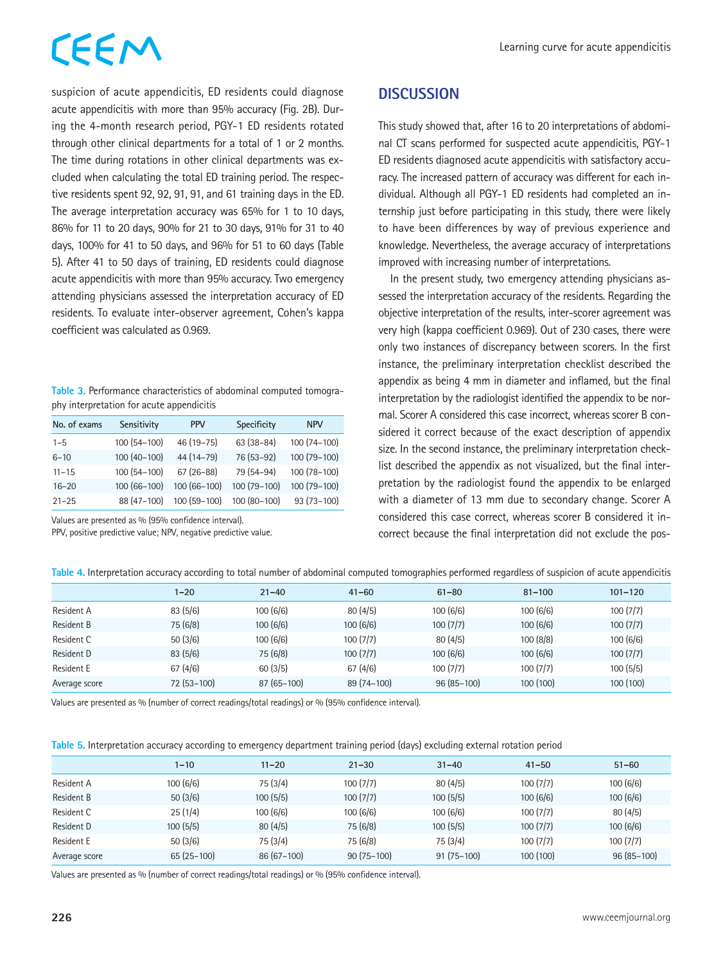## EEM

suspicion of acute appendicitis, ED residents could diagnose acute appendicitis with more than 95% accuracy (Fig. 2B). During the 4-month research period, PGY-1 ED residents rotated through other clinical departments for a total of 1 or 2 months. The time during rotations in other clinical departments was excluded when calculating the total ED training period. The respective residents spent 92, 92, 91, 91, and 61 training days in the ED. The average interpretation accuracy was 65% for 1 to 10 days, 86% for 11 to 20 days, 90% for 21 to 30 days, 91% for 31 to 40 days, 100% for 41 to 50 days, and 96% for 51 to 60 days (Table 5). After 41 to 50 days of training, ED residents could diagnose acute appendicitis with more than 95% accuracy. Two emergency attending physicians assessed the interpretation accuracy of ED residents. To evaluate inter-observer agreement, Cohen's kappa coefficient was calculated as 0.969.

**Table 3.** Performance characteristics of abdominal computed tomography interpretation for acute appendicitis

| No. of exams | Sensitivity   | <b>PPV</b>   | <b>Specificity</b> | <b>NPV</b>   |
|--------------|---------------|--------------|--------------------|--------------|
| $1 - 5$      | 100 (54-100)  | $46(19-75)$  | $63(38-84)$        | 100 (74-100) |
| $6 - 10$     | $100(40-100)$ | 44 (14-79)   | 76 (53-92)         | 100 (79-100) |
| $11 - 15$    | 100 (54-100)  | $67(26-88)$  | 79 (54-94)         | 100 (78-100) |
| $16 - 20$    | 100 (66-100)  | 100 (66-100) | 100 (79-100)       | 100 (79-100) |
| $21 - 25$    | 88 (47-100)   | 100 (59-100) | 100 (80-100)       | $93(73-100)$ |

Values are presented as % (95% confidence interval).

PPV, positive predictive value; NPV, negative predictive value.

#### **DISCUSSION**

This study showed that, after 16 to 20 interpretations of abdominal CT scans performed for suspected acute appendicitis, PGY-1 ED residents diagnosed acute appendicitis with satisfactory accuracy. The increased pattern of accuracy was different for each individual. Although all PGY-1 ED residents had completed an internship just before participating in this study, there were likely to have been differences by way of previous experience and knowledge. Nevertheless, the average accuracy of interpretations improved with increasing number of interpretations.

In the present study, two emergency attending physicians assessed the interpretation accuracy of the residents. Regarding the objective interpretation of the results, inter-scorer agreement was very high (kappa coefficient 0.969). Out of 230 cases, there were only two instances of discrepancy between scorers. In the first instance, the preliminary interpretation checklist described the appendix as being 4 mm in diameter and inflamed, but the final interpretation by the radiologist identified the appendix to be normal. Scorer A considered this case incorrect, whereas scorer B considered it correct because of the exact description of appendix size. In the second instance, the preliminary interpretation checklist described the appendix as not visualized, but the final interpretation by the radiologist found the appendix to be enlarged with a diameter of 13 mm due to secondary change. Scorer A considered this case correct, whereas scorer B considered it incorrect because the final interpretation did not exclude the pos-

| Table 4. Interpretation accuracy according to total number of abdominal computed tomographies performed regardless of suspicion of acute appendicitis |  |
|-------------------------------------------------------------------------------------------------------------------------------------------------------|--|
|-------------------------------------------------------------------------------------------------------------------------------------------------------|--|

|                   | $1 - 20$    | $21 - 40$    | $41 - 60$   | $61 - 80$    | $81 - 100$ | $101 - 120$ |
|-------------------|-------------|--------------|-------------|--------------|------------|-------------|
| Resident A        | 83(5/6)     | 100(6/6)     | 80(4/5)     | 100(6/6)     | 100(6/6)   | 100(7/7)    |
| <b>Resident B</b> | 75 (6/8)    | 100(6/6)     | 100(6/6)    | 100(7/7)     | 100(6/6)   | 100(7/7)    |
| Resident C        | 50(3/6)     | 100(6/6)     | 100(7/7)    | 80(4/5)      | 100(8/8)   | 100(6/6)    |
| Resident D        | 83(5/6)     | 75 (6/8)     | 100(7/7)    | 100(6/6)     | 100(6/6)   | 100(7/7)    |
| Resident E        | 67(4/6)     | 60(3/5)      | 67(4/6)     | 100(7/7)     | 100(7/7)   | 100(5/5)    |
| Average score     | 72 (53-100) | $87(65-100)$ | 89 (74-100) | $96(85-100)$ | 100(100)   | 100 (100)   |

Values are presented as % (number of correct readings/total readings) or % (95% confidence interval).

**Table 5.** Interpretation accuracy according to emergency department training period (days) excluding external rotation period

|                   | $1 - 10$     | $11 - 20$    | $21 - 30$    | $31 - 40$    | $41 - 50$ | $51 - 60$    |
|-------------------|--------------|--------------|--------------|--------------|-----------|--------------|
| Resident A        | 100(6/6)     | 75 (3/4)     | 100(7/7)     | 80(4/5)      | 100(7/7)  | 100(6/6)     |
| <b>Resident B</b> | 50(3/6)      | 100(5/5)     | 100(7/7)     | 100(5/5)     | 100(6/6)  | 100(6/6)     |
| Resident C        | 25(1/4)      | 100(6/6)     | 100(6/6)     | 100(6/6)     | 100(7/7)  | 80(4/5)      |
| Resident D        | 100(5/5)     | 80(4/5)      | 75 (6/8)     | 100(5/5)     | 100(7/7)  | 100(6/6)     |
| Resident E        | 50(3/6)      | 75 (3/4)     | 75 (6/8)     | 75(3/4)      | 100(7/7)  | 100(7/7)     |
| Average score     | $65(25-100)$ | $86(67-100)$ | $90(75-100)$ | $91(75-100)$ | 100 (100) | $96(85-100)$ |

Values are presented as % (number of correct readings/total readings) or % (95% confidence interval).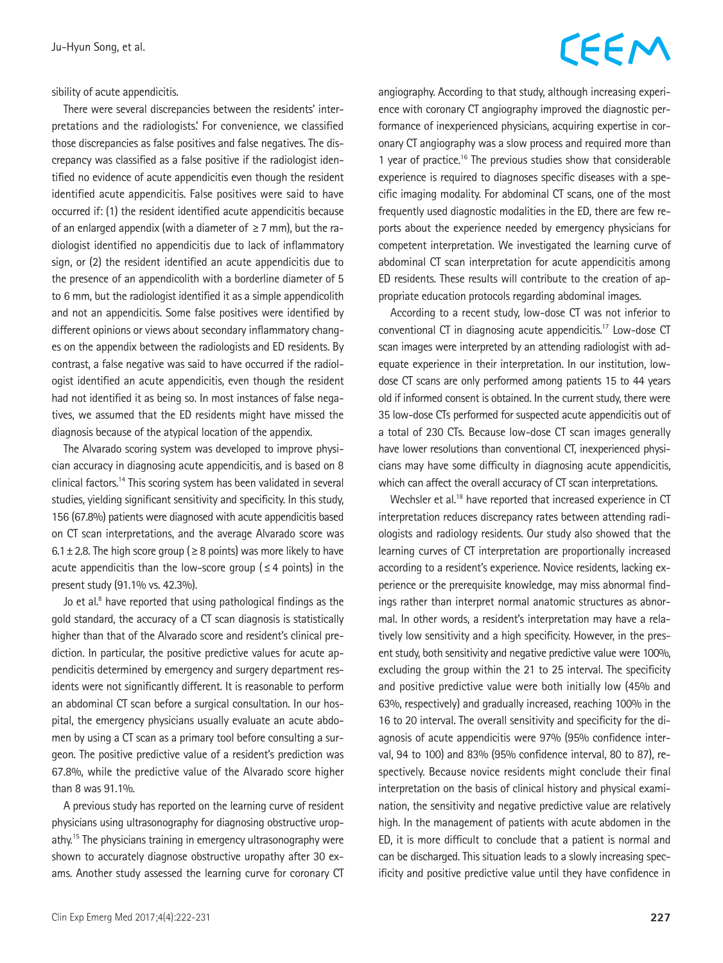sibility of acute appendicitis.

There were several discrepancies between the residents' interpretations and the radiologists.' For convenience, we classified those discrepancies as false positives and false negatives. The discrepancy was classified as a false positive if the radiologist identified no evidence of acute appendicitis even though the resident identified acute appendicitis. False positives were said to have occurred if: (1) the resident identified acute appendicitis because of an enlarged appendix (with a diameter of  $\geq$  7 mm), but the radiologist identified no appendicitis due to lack of inflammatory sign, or (2) the resident identified an acute appendicitis due to the presence of an appendicolith with a borderline diameter of 5 to 6 mm, but the radiologist identified it as a simple appendicolith and not an appendicitis. Some false positives were identified by different opinions or views about secondary inflammatory changes on the appendix between the radiologists and ED residents. By contrast, a false negative was said to have occurred if the radiologist identified an acute appendicitis, even though the resident had not identified it as being so. In most instances of false negatives, we assumed that the ED residents might have missed the diagnosis because of the atypical location of the appendix.

The Alvarado scoring system was developed to improve physician accuracy in diagnosing acute appendicitis, and is based on 8 clinical factors.14 This scoring system has been validated in several studies, yielding significant sensitivity and specificity. In this study, 156 (67.8%) patients were diagnosed with acute appendicitis based on CT scan interpretations, and the average Alvarado score was 6.1  $\pm$  2.8. The high score group ( $\geq$  8 points) was more likely to have acute appendicitis than the low-score group ( $\leq$  4 points) in the present study (91.1% vs. 42.3%).

Jo et al.<sup>8</sup> have reported that using pathological findings as the gold standard, the accuracy of a CT scan diagnosis is statistically higher than that of the Alvarado score and resident's clinical prediction. In particular, the positive predictive values for acute appendicitis determined by emergency and surgery department residents were not significantly different. It is reasonable to perform an abdominal CT scan before a surgical consultation. In our hospital, the emergency physicians usually evaluate an acute abdomen by using a CT scan as a primary tool before consulting a surgeon. The positive predictive value of a resident's prediction was 67.8%, while the predictive value of the Alvarado score higher than 8 was 91.1%.

A previous study has reported on the learning curve of resident physicians using ultrasonography for diagnosing obstructive uropathy.<sup>15</sup> The physicians training in emergency ultrasonography were shown to accurately diagnose obstructive uropathy after 30 exams. Another study assessed the learning curve for coronary CT

# CEEM angiography. According to that study, although increasing experi-

ence with coronary CT angiography improved the diagnostic performance of inexperienced physicians, acquiring expertise in coronary CT angiography was a slow process and required more than 1 year of practice.<sup>16</sup> The previous studies show that considerable experience is required to diagnoses specific diseases with a specific imaging modality. For abdominal CT scans, one of the most frequently used diagnostic modalities in the ED, there are few reports about the experience needed by emergency physicians for competent interpretation. We investigated the learning curve of abdominal CT scan interpretation for acute appendicitis among ED residents. These results will contribute to the creation of appropriate education protocols regarding abdominal images.

According to a recent study, low-dose CT was not inferior to conventional CT in diagnosing acute appendicitis.17 Low-dose CT scan images were interpreted by an attending radiologist with adequate experience in their interpretation. In our institution, lowdose CT scans are only performed among patients 15 to 44 years old if informed consent is obtained. In the current study, there were 35 low-dose CTs performed for suspected acute appendicitis out of a total of 230 CTs. Because low-dose CT scan images generally have lower resolutions than conventional CT, inexperienced physicians may have some difficulty in diagnosing acute appendicitis, which can affect the overall accuracy of CT scan interpretations.

Wechsler et al.<sup>18</sup> have reported that increased experience in CT interpretation reduces discrepancy rates between attending radiologists and radiology residents. Our study also showed that the learning curves of CT interpretation are proportionally increased according to a resident's experience. Novice residents, lacking experience or the prerequisite knowledge, may miss abnormal findings rather than interpret normal anatomic structures as abnormal. In other words, a resident's interpretation may have a relatively low sensitivity and a high specificity. However, in the present study, both sensitivity and negative predictive value were 100%, excluding the group within the 21 to 25 interval. The specificity and positive predictive value were both initially low (45% and 63%, respectively) and gradually increased, reaching 100% in the 16 to 20 interval. The overall sensitivity and specificity for the diagnosis of acute appendicitis were 97% (95% confidence interval, 94 to 100) and 83% (95% confidence interval, 80 to 87), respectively. Because novice residents might conclude their final interpretation on the basis of clinical history and physical examination, the sensitivity and negative predictive value are relatively high. In the management of patients with acute abdomen in the ED, it is more difficult to conclude that a patient is normal and can be discharged. This situation leads to a slowly increasing specificity and positive predictive value until they have confidence in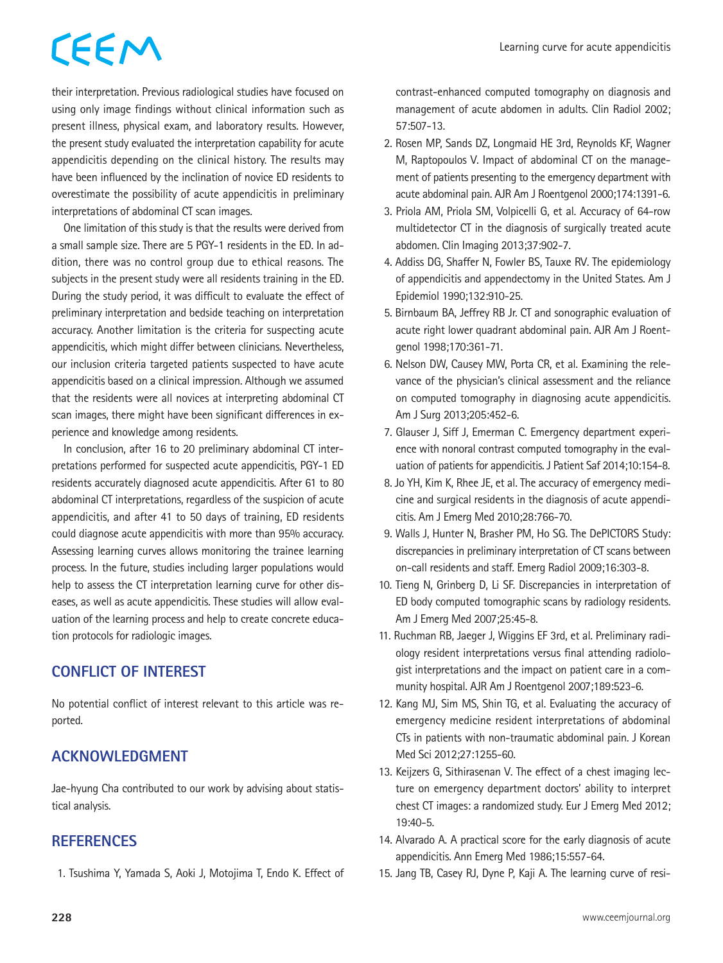## CEEM

their interpretation. Previous radiological studies have focused on using only image findings without clinical information such as present illness, physical exam, and laboratory results. However, the present study evaluated the interpretation capability for acute appendicitis depending on the clinical history. The results may have been influenced by the inclination of novice ED residents to overestimate the possibility of acute appendicitis in preliminary interpretations of abdominal CT scan images.

One limitation of this study is that the results were derived from a small sample size. There are 5 PGY-1 residents in the ED. In addition, there was no control group due to ethical reasons. The subjects in the present study were all residents training in the ED. During the study period, it was difficult to evaluate the effect of preliminary interpretation and bedside teaching on interpretation accuracy. Another limitation is the criteria for suspecting acute appendicitis, which might differ between clinicians. Nevertheless, our inclusion criteria targeted patients suspected to have acute appendicitis based on a clinical impression. Although we assumed that the residents were all novices at interpreting abdominal CT scan images, there might have been significant differences in experience and knowledge among residents.

In conclusion, after 16 to 20 preliminary abdominal CT interpretations performed for suspected acute appendicitis, PGY-1 ED residents accurately diagnosed acute appendicitis. After 61 to 80 abdominal CT interpretations, regardless of the suspicion of acute appendicitis, and after 41 to 50 days of training, ED residents could diagnose acute appendicitis with more than 95% accuracy. Assessing learning curves allows monitoring the trainee learning process. In the future, studies including larger populations would help to assess the CT interpretation learning curve for other diseases, as well as acute appendicitis. These studies will allow evaluation of the learning process and help to create concrete education protocols for radiologic images.

#### **CONFLICT OF INTEREST**

No potential conflict of interest relevant to this article was reported.

#### **ACKNOWLEDGMENT**

Jae-hyung Cha contributed to our work by advising about statistical analysis.

#### **REFERENCES**

1. Tsushima Y, Yamada S, Aoki J, Motojima T, Endo K. Effect of

contrast-enhanced computed tomography on diagnosis and management of acute abdomen in adults. Clin Radiol 2002; 57:507-13.

- 2. Rosen MP, Sands DZ, Longmaid HE 3rd, Reynolds KF, Wagner M, Raptopoulos V. Impact of abdominal CT on the management of patients presenting to the emergency department with acute abdominal pain. AJR Am J Roentgenol 2000;174:1391-6.
- 3. Priola AM, Priola SM, Volpicelli G, et al. Accuracy of 64-row multidetector CT in the diagnosis of surgically treated acute abdomen. Clin Imaging 2013;37:902-7.
- 4. Addiss DG, Shaffer N, Fowler BS, Tauxe RV. The epidemiology of appendicitis and appendectomy in the United States. Am J Epidemiol 1990;132:910-25.
- 5. Birnbaum BA, Jeffrey RB Jr. CT and sonographic evaluation of acute right lower quadrant abdominal pain. AJR Am J Roentgenol 1998;170:361-71.
- 6. Nelson DW, Causey MW, Porta CR, et al. Examining the relevance of the physician's clinical assessment and the reliance on computed tomography in diagnosing acute appendicitis. Am J Surg 2013;205:452-6.
- 7. Glauser J, Siff J, Emerman C. Emergency department experience with nonoral contrast computed tomography in the evaluation of patients for appendicitis. J Patient Saf 2014;10:154-8.
- 8. Jo YH, Kim K, Rhee JE, et al. The accuracy of emergency medicine and surgical residents in the diagnosis of acute appendicitis. Am J Emerg Med 2010;28:766-70.
- 9. Walls J, Hunter N, Brasher PM, Ho SG. The DePICTORS Study: discrepancies in preliminary interpretation of CT scans between on-call residents and staff. Emerg Radiol 2009;16:303-8.
- 10. Tieng N, Grinberg D, Li SF. Discrepancies in interpretation of ED body computed tomographic scans by radiology residents. Am J Emerg Med 2007;25:45-8.
- 11. Ruchman RB, Jaeger J, Wiggins EF 3rd, et al. Preliminary radiology resident interpretations versus final attending radiologist interpretations and the impact on patient care in a community hospital. AJR Am J Roentgenol 2007;189:523-6.
- 12. Kang MJ, Sim MS, Shin TG, et al. Evaluating the accuracy of emergency medicine resident interpretations of abdominal CTs in patients with non-traumatic abdominal pain. J Korean Med Sci 2012;27:1255-60.
- 13. Keijzers G, Sithirasenan V. The effect of a chest imaging lecture on emergency department doctors' ability to interpret chest CT images: a randomized study. Eur J Emerg Med 2012; 19:40-5.
- 14. Alvarado A. A practical score for the early diagnosis of acute appendicitis. Ann Emerg Med 1986;15:557-64.
- 15. Jang TB, Casey RJ, Dyne P, Kaji A. The learning curve of resi-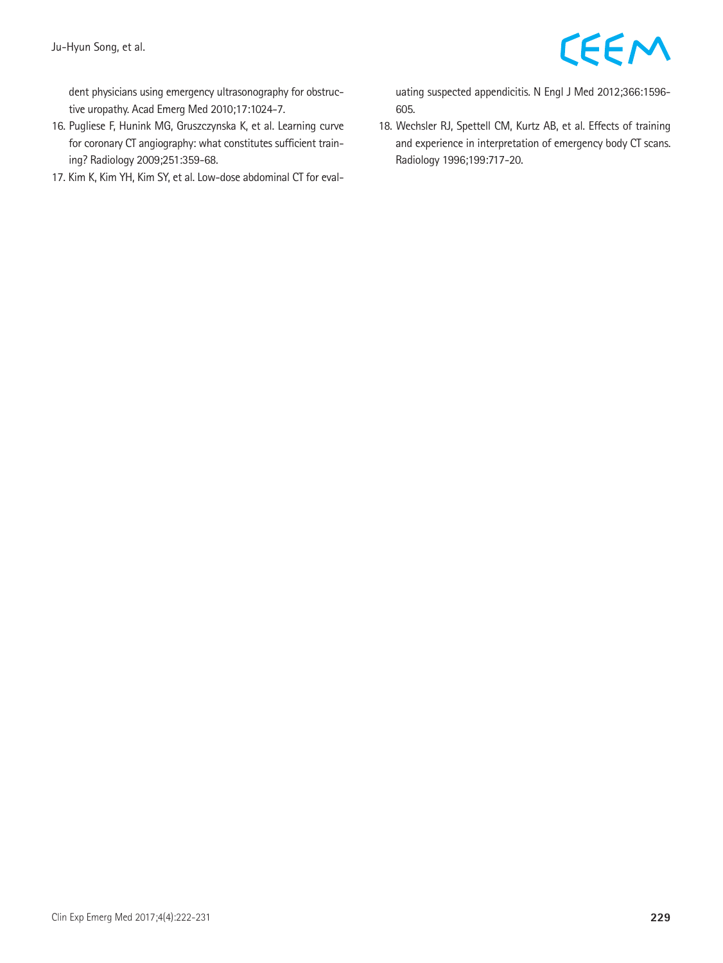

dent physicians using emergency ultrasonography for obstructive uropathy. Acad Emerg Med 2010;17:1024-7.

- 16. Pugliese F, Hunink MG, Gruszczynska K, et al. Learning curve for coronary CT angiography: what constitutes sufficient training? Radiology 2009;251:359-68.
- 17. Kim K, Kim YH, Kim SY, et al. Low-dose abdominal CT for eval-

uating suspected appendicitis. N Engl J Med 2012;366:1596- 605.

18. Wechsler RJ, Spettell CM, Kurtz AB, et al. Effects of training and experience in interpretation of emergency body CT scans. Radiology 1996;199:717-20.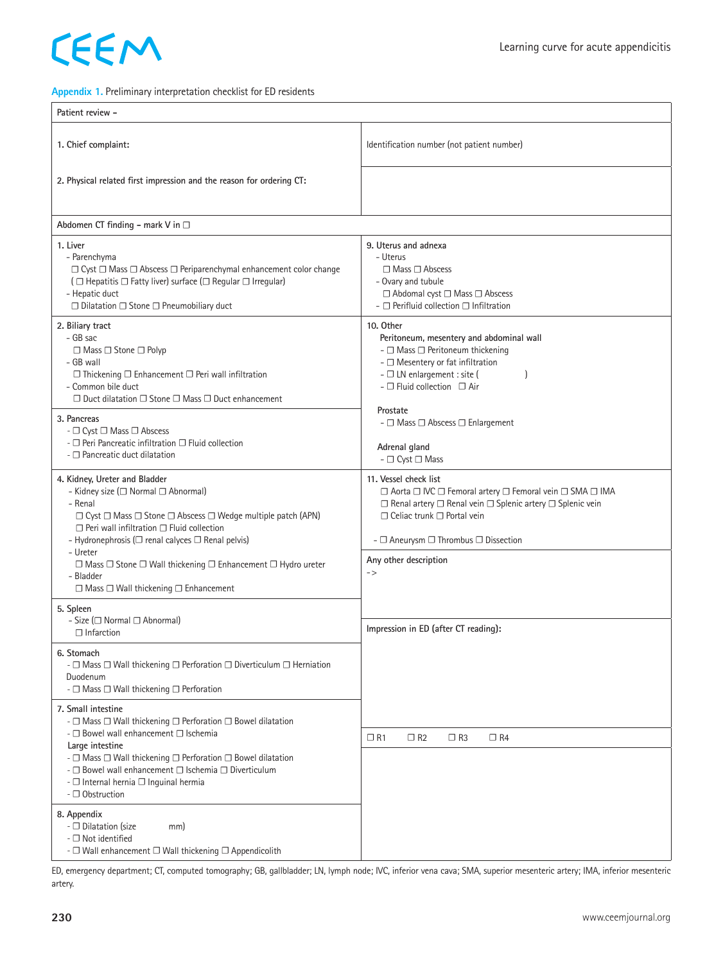

| Patient review -                                                                                                                                                                                                                                                                                                                                                                                                                                                                         |                                                                                                                                                                                                                                                                                                                                   |
|------------------------------------------------------------------------------------------------------------------------------------------------------------------------------------------------------------------------------------------------------------------------------------------------------------------------------------------------------------------------------------------------------------------------------------------------------------------------------------------|-----------------------------------------------------------------------------------------------------------------------------------------------------------------------------------------------------------------------------------------------------------------------------------------------------------------------------------|
| 1. Chief complaint:                                                                                                                                                                                                                                                                                                                                                                                                                                                                      | Identification number (not patient number)                                                                                                                                                                                                                                                                                        |
| 2. Physical related first impression and the reason for ordering CT:                                                                                                                                                                                                                                                                                                                                                                                                                     |                                                                                                                                                                                                                                                                                                                                   |
| Abdomen CT finding - mark V in □                                                                                                                                                                                                                                                                                                                                                                                                                                                         |                                                                                                                                                                                                                                                                                                                                   |
| 1. Liver<br>- Parenchyma<br>$\Box$ Cyst $\Box$ Mass $\Box$ Abscess $\Box$ Periparenchymal enhancement color change<br>(□ Hepatitis □ Fatty liver) surface (□ Regular □ Irregular)<br>- Hepatic duct<br>$\Box$ Dilatation $\Box$ Stone $\Box$ Pneumobiliary duct                                                                                                                                                                                                                          | 9. Uterus and adnexa<br>- Uterus<br>$\Box$ Mass $\Box$ Abscess<br>- Ovary and tubule<br>$\Box$ Abdomal cyst $\Box$ Mass $\Box$ Abscess<br>- $\Box$ Perifluid collection $\Box$ Infiltration                                                                                                                                       |
| 2. Biliary tract<br>- GB sac<br>$\Box$ Mass $\Box$ Stone $\Box$ Polyp<br>- GB wall<br>$\Box$ Thickening $\Box$ Enhancement $\Box$ Peri wall infiltration<br>- Common bile duct<br>$\Box$ Duct dilatation $\Box$ Stone $\Box$ Mass $\Box$ Duct enhancement                                                                                                                                                                                                                                | 10. Other<br>Peritoneum, mesentery and abdominal wall<br>- $\Box$ Mass $\Box$ Peritoneum thickening<br>$ \Box$ Mesentery or fat infiltration<br>- $\Box$ LN enlargement : site (<br>$ \Box$ Fluid collection $\Box$ Air                                                                                                           |
| 3. Pancreas<br>- □ Cyst □ Mass □ Abscess<br>- <sup>O</sup> Peri Pancreatic infiltration <sup>O</sup> Fluid collection<br>$ \Box$ Pancreatic duct dilatation                                                                                                                                                                                                                                                                                                                              | Prostate<br>$- \Box$ Mass $\Box$ Abscess $\Box$ Enlargement<br>Adrenal gland<br>- □ Cyst □ Mass                                                                                                                                                                                                                                   |
| 4. Kidney, Ureter and Bladder<br>- Kidney size ( $\Box$ Normal $\Box$ Abnormal)<br>- Renal<br>$\Box$ Cyst $\Box$ Mass $\Box$ Stone $\Box$ Abscess $\Box$ Wedge multiple patch (APN)<br>$\Box$ Peri wall infiltration $\Box$ Fluid collection<br>- Hydronephrosis ( $\Box$ renal calyces $\Box$ Renal pelvis)<br>- Ureter<br>$\Box$ Mass $\Box$ Stone $\Box$ Wall thickening $\Box$ Enhancement $\Box$ Hydro ureter<br>- Bladder<br>$\Box$ Mass $\Box$ Wall thickening $\Box$ Enhancement | 11. Vessel check list<br>□ Aorta □ IVC □ Femoral artery □ Femoral vein □ SMA □ IMA<br>$\Box$ Renal artery $\Box$ Renal vein $\Box$ Splenic artery $\Box$ Splenic vein<br>$\Box$ Celiac trunk $\Box$ Portal vein<br>- □ Aneurysm □ Thrombus □ Dissection<br>Any other description<br>$\mathord{\hspace{1pt}\text{--}\hspace{1pt}}$ |
| 5. Spleen<br>- Size ( $\Box$ Normal $\Box$ Abnormal)<br>$\Box$ Infarction                                                                                                                                                                                                                                                                                                                                                                                                                | Impression in ED (after CT reading):                                                                                                                                                                                                                                                                                              |
| 6. Stomach<br>- $\Box$ Mass $\Box$ Wall thickening $\Box$ Perforation $\Box$ Diverticulum $\Box$ Herniation<br>Duodenum<br>- $\Box$ Mass $\Box$ Wall thickening $\Box$ Perforation                                                                                                                                                                                                                                                                                                       |                                                                                                                                                                                                                                                                                                                                   |
| 7. Small intestine<br>- $\Box$ Mass $\Box$ Wall thickening $\Box$ Perforation $\Box$ Bowel dilatation<br>$- \Box$ Bowel wall enhancement $\Box$ Ischemia<br>Large intestine<br>- $\Box$ Mass $\Box$ Wall thickening $\Box$ Perforation $\Box$ Bowel dilatation<br>- $\Box$ Bowel wall enhancement $\Box$ Ischemia $\Box$ Diverticulum<br>- $\Box$ Internal hernia $\Box$ Inguinal hermia<br>- □ Obstruction                                                                              | $\Box$ R <sub>2</sub><br>$\Box$ R1<br>$\Box$ R3<br>$\Box$ R4                                                                                                                                                                                                                                                                      |
| 8. Appendix<br>- <sup>D</sup> Dilatation (size<br>mm)<br>- $\Box$ Not identified<br>- $\Box$ Wall enhancement $\Box$ Wall thickening $\Box$ Appendicolith                                                                                                                                                                                                                                                                                                                                |                                                                                                                                                                                                                                                                                                                                   |

ED, emergency department; CT, computed tomography; GB, gallbladder; LN, lymph node; IVC, inferior vena cava; SMA, superior mesenteric artery; IMA, inferior mesenteric artery.